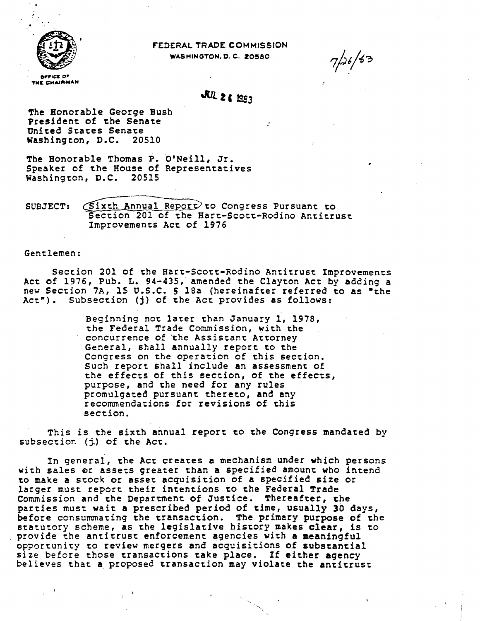

FEDERAL TRADE COMMISSION WASHINGTON, D. C. 20580

THE CHAIRMAN

# JUL 2 & 1983

 $\sim$  100  $\pm$ 

 $7/26/63$ 

The Honorable George Bush President of the Senate United States Senate Washington, D.C. 20510

The Honorable Thomas P. O'Neill, Jr. Speaker of the House of Representatives Washington, D.C. 20515

SUBJECT: (Sixth Annual Report) to Congress Pursuant to Section 201 of the Hart-Scott-Rodino Antitrust Improvements Act of 1976

Gentlemen:

Section 201 of the Hart-Scott-Rodino Antitrust Improvements Act of 1976, Pub. L. 94-435, amended the Clayton Act by adding a new Section 7A, 15 U.S.C. 5 18a (hereinafter referred to as "the Act"). Subsection (j) of the Act provides as follows:

> Beginning not later than January 1, 1978, the Federal Trade Commission, with the concurrence of the Assistant Attorney General, shall annually report to the Congress on the operation of this section. Such report shall include an assessment of the effects of this section, of the effects, purpose, and the need for any rules promulgated pursuant thereto, and any recommendations for revisions of this section.

This is the sixth annual report to the Congress mandated by subsection (j) of the Act.

In general, the Act creates a mechanism under which persons with sales or assets greater than a specified amount who intend to make a stock or asset acquisition of a specified size or larger must report their intentions to the Federal Trade Commission and the Department of Justice. Thereafter, the parties must wait a prescribed period of time, usually 30 days, before consummating the transaction. The primary purpose of the statutory scheme, as the legislative history makes clear, is to provide the antitrust enforcement agencies with a meaningful opportunity to review mergers and acquisitions of substantial size before those transactions take place. If either agency believes that a proposed transaction may violate the antitrust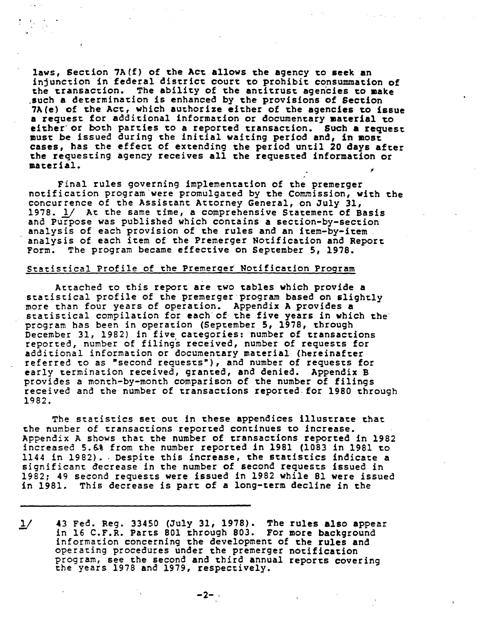laws, Section 7A(f) of the Act allows the agency to seek an injunction in federal district court to prohibit consummation of the transaction. The ability of the antitrust agencies to make such a determination is enhanced by the provisions of Section 7A(e) cf the Act, which authorize either of the agencies to issue a request for additional information or documentary material to either or both parties to a reported transaction. Such a request must be issued during the initial waiting period and, in most cases, has the effect of extending the period until 20 days after the requesting agency receives all the requested information or material.

 $\cdot$   $\cdot$ 

Final rules governing implementation of the premerger<br>notification program were promulgated by the Commission, with the concurrence of the Assistant Attorney General, on July 31, 1978. *l/* At the same time, a comprehensive Statement of Basis 1978. 1/ At the same time, a comprehensive Statement of Basis<br>and Purpose was published which contains a section-by-section<br>analysis of each provision of the rules and an item-by-item<br>analysis of each item of the Premerger

#### Statistical Profile of the Premerger Notification Program

Attached to this report are two tables which provide a statistical profile of the premerger·program based on slightly more than four years of operation. Appendix A provides a statistical compilation for each of the five years in which the program bas been in operation (September 5, 1978, through December 31, 1982) in five categories: number of transactions reported, number of filings received, number of requests for aaditional information or documentary material (hereinafter referred to as "second requests"), and number of requests for early termination received, granted, and denied. Appendix B provides a month-by-month comparison of the number of filings<br>received and the number of transactions reported for 1980 through 1982.

The statistics set out in these appendices illustrate that the number of transactions reported continues to increase. Appendix A shows that the number of transactions reported in 1982 increased 5.6% from the number reported in 1981 (1083 in 1981 to 1144 in 1982) •. Despite this increase, the statistics indicate a significant decrease in the number of second requests issued in 1982; 49 seeond requests were issued in 1982 while 81 were issued in 1981. This decrease is part of a long-term decline in the

1/ 43 Fed. Reg. 33450 (July 31, 1978). The rules also appear<br>in 16 C.F.R. Parts 801 through 803. For more background<br>information concerning the development of the rules and operating procedures under the premerger notification program, see the second and third annual reports covering the years 1978 and 1979, respectively.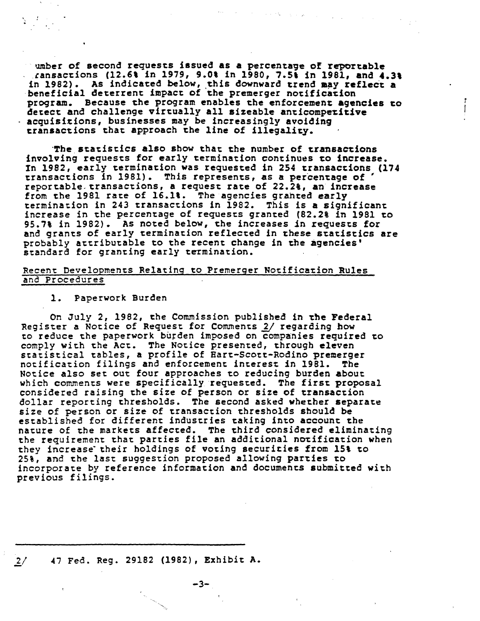umber of second requeses issued as a percenta9e of reportable ~ansaeeions (12.6' in 1979, 9.0t in 1980, 7.5, in 1981, and 4.3, in 1982). As indicated below, this downward trend may reflect a beneficial deterrent impact of the premerger notification program. Because the program enables the enforcement agencies co detect and challenge virtually all sizeable anticompetitive acquisitions, businesses may be increasingly avoiding cransactions that approach the line of illegality.

 $\mathcal{O}(\mathcal{O}_{\mathbb{P}^1})$  , where  $\mathcal{O}(\mathcal{O}_{\mathbb{P}^1})$  , where  $\mathcal{O}(\mathcal{O}_{\mathbb{P}^1})$ 

 $\mathbf{I}$ 

·The statistics also show that the number of transactions involving requests for early termination continues co increase. In 1982, early termination was requested in 254 transactions (174 In 1982, early termination was requested in 254 transactions (<br>transactions in 1981). This represents, as a percentage of ' reportable.transactions, a request rate of 22.2t, an increase from the 1981 rate of 16.1%. The agencies granted early termination in 243 transactions in 1982. This is a significant increase in the percentage of requests granted (82.2% in 1981 to 95.7% in 1982). As noted below, the increases in requests for and grants of early termination reflected in these statistics are probably attributable to the recent change in the agencies' standard for granting early termination.

#### Recent Developments Relating to Premerger Notification Rules ana Procedures

1. Paperwork Burden

. •

On July 2, 1982, the Commission published in the Federal Register a Notice of Request for Comments 2/ regarding how to reduce the paperwork burden imposed on companies required to comply with the Act. The Notice presented, through eleven statistical tables, a profile of Hart-Scott-Rodino premerger<br>notification filings and enforcement interest in 1981. The Notice also set out four approaches to reducing burden about which comments were specifically requested. The first proposal considered raising the size of person or size of transaction dollar reporting thresholds. The second asked whether separate size of person or size of transaction thresholds should be established for different industries taking into account the nature of the markets affected. The third considered eliminating the requirement that parties file an additional notification when they increase their holdings of voting securities from 15% to 25%, and the last suggestion proposed allowing parties to incorporaee by reference information and documents submitted wieh previous filings.

-3-

# 2/ 47 Fed. Reg. 29182 (1982), Exhibit A.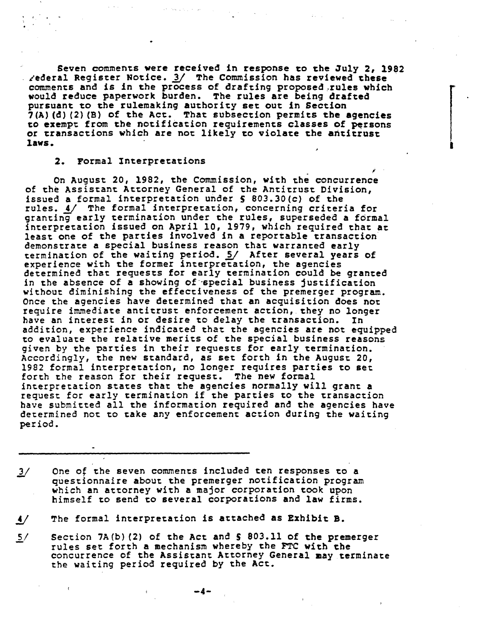Seven comments were received in response to the July 2, 1982<br>Aederal Register Notice. 3/ The Commission has reviewed these Seven comments were received in response to the July 2, 198:<br>
- ederal Register Notice. 3/ The Commission has reviewed these<br>
comments and is in the process of drafting proposed,rules which would reduce paperwork burden. The rules are being drafted pursuant to the rulemaking authority set out in Section  $7(A)$  (d) (2) (B) of the Act. That subsection permits the agencies to exempt from the notification requirements classes of persons or transactions which are not likely to violate the antitrust laws.

l

#### 2. Formal Interpretations

On August 20, 1982, the Commission, with the concurrence of the Assistant Attorney General of the Antitrust Division, issued a formal interpretation under S 803.30(c) of the rules. 4/ The formal interpretation, concerning criteria for granting early termination under the rules, superseded a formal interpretation issued on April 10, 1979, which required that at least one of the parties involved in a reportable transaction demonstrate a special business reason that warranted early<br>termination of the waiting period. 5/ After several years of experience with the former interpretation, the agencies<br>determined that requests for early termination could be granted<br>in the absence of a showing of special business justification<br>without diminishing the effectiveness of without diminishing the effectiveness of the premerger program.<br>Once the agencies have determined that an acquisition does not require immediate antitrust enforcement action, they no longer<br>have an interest in or desire to delay the transaction. In addition, experience indicated that the agencies are not equipped to evaluate the relative merits of the special business reasons given by the parties in their requests for early termination. Accordingly, the new standard, as set forth in the August 20, 1982 formal interpretation, no longer requires parties to set forth the reason for their request. The new formal interpretation states that the agencies normally will grant a request for early termination if the parties to the transaction have submitted all the information required and the agencies have determined not to take any enforcement action during the waiting period.

One of the seven comments included ten responses to a questionnaire about the premerger notification program  $\frac{3}{ }$ which an attorney with a major corporation took upon himself to send to several corporations and law firms.

 $\overline{4}$ The formal interpretation is attached as Exhibit B.

 $5/$ Section 7A(b) (2) of the Act and S 803.11 of the premerger rules set forth a mechanism whereby the FTC with the concurrence of the Assistant Attorney General may terminate the waiting period required by the Act.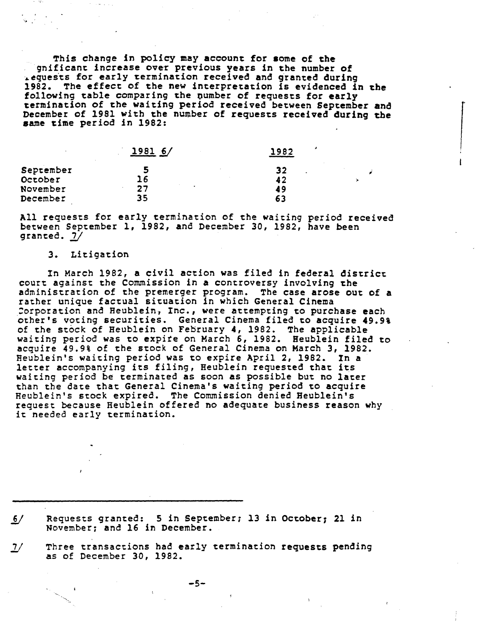This change in policy may account for some of the gnificant increase over previous years in the number of requests for early termination received and granted during 1982. The effect of the new interpretation is evidenced in the following table comparing the number of requests for early termination of the waiting period received between September and December of 1981 with the number of requests received during the same time period in 1982:

 $\begin{array}{c} \begin{array}{c} \end{array} \end{array}$ 

|           | 19816/ | 1982 |  |
|-----------|--------|------|--|
| September |        | 32   |  |
| October   | 16     | 42   |  |
| November  | クワ     | 49   |  |
| December  | 35     | 63   |  |
|           |        |      |  |

All requests for early termination of the waiting period received between September l, 1982, and December *30,* 1982, have been granted.  $2/$ 

#### 3. Litigation

In March 1982, a civil action was filed in federal district court against the Commission in a controversy involving the administration of the premerger program. The case arose out of a rather unique factual situation in which General Cinema :orporation and Heublein, Inc., were attempting to purchase each other's voting securities. General Cinema filed to acquire 49.9% of the stock of Heublein on February 4, 1982. The applicable waiting period was to expire on March 6, 1982. Heublein filed to acquire 49.9% of the stock of General Cinema on March 3, 1982. Heublein's waiting period was to expire April 2, 1982. In a letter accompanying its filing, Heublein requested that its waiting period be terminated as soon as possible but no later than the date that General Cinema's waiting period to acquire Heublein's stock expired. The Commission denied Heublein's request because Heublein offered no adequate business reason why it needed early termination.

Requests granted: 5 in September; 13 in October; 21 in  $6/$ November; and 16 in December.

 $\mathcal{I}'$ Three transactions had early termination requests pending as of December 30, 1982.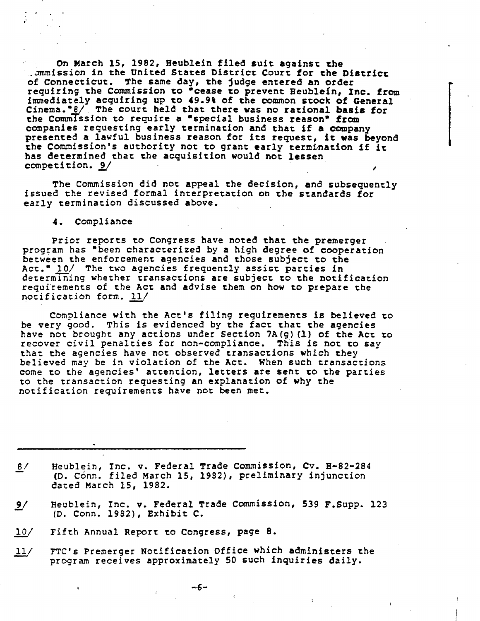On March 15, 1982, Heublein filed suit against the . ommission in the United States District Court for the District of Connecticut. The same day, the judge entered an order requiring the Commission to "cease to prevent Beublein, Inc. from immediately acquiring up to 49.9t of the common stock of General Cinema.<sup>•8</sup>/ The court held that there was no rational basis for the Commission to require a "special business reason" from companies requesting early termination and that if a company<br>presented a lawful business reason for its request, it was beyond<br>the Commission's authority not to grant early termination if it has determined that the acquisition would not lessen nas determined that the acquisition would not lessen<br>competition. 9/

The Commission did not appeal the decision, and subsequently issued the revised formal interpretation on the standards for early termination discussed above.

4. Compliance

Prior reports to Congress have noted that the premerger program has "been characterized by a high degree of cooperation between the enforcement agencies and those subject to the Act.<sup>\*</sup> 10/ The two agencies frequently assist parties in determining whether transactions are subject to the notification requirements of the Act and advise them on how to prepare the notification form. l1J

Compliance with the Act's filing requirements is believed to<br>be very good. This is evidenced by the fact that the agencies have not brought any actions under Section 7A(g) (1) of the Act to recover civil penalties for non-compliance. This is not to say that the agencies have not observed transactions which they believed may be in violation of the Act. When such transactions come to the agencies' attention, letters are sent to the parties to the transaction requesting an explanation of why the notification requirements have not been met.

 $8/$ Heublein, Inc. v. Federal Trade Commission, Cv. H-82-284 (D. Conn. filed March 15, 1982), preliminary injunction dated March 15, 1982.

- Heublein, Inc. v. Federal Trade Commission, 539 F.Supp. 123  $9/$ {D. Conn. 1982), Exhibit C.
- $10/$ Fifth Annual Report to Congress, page 8.
- YTC's Premerger Notification Office which administers the  $11/$ program receives approximately SO such inquiries daily.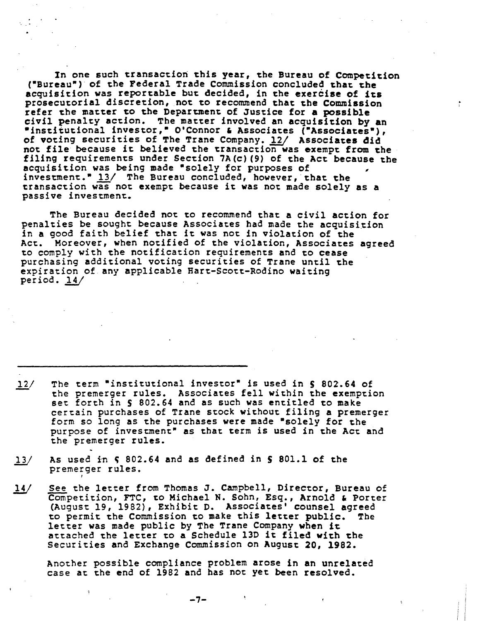In one such transaction this year, the Bureau of Competition ("Bureau") of the Federal Trade Commission concluded that the acquisition was reportable but decided, in the exercise of its prosecutorial discretion, not to recommend that the Commission refer the matter to the Department of Justice for a possible civil penalty action. The matter involved an acquisition by an "institutional investor," O'Connor & Associates ("Associates"), of voting securities of The Trane Company. 12/ Associates did not file because it believed the transaction was exempt from the filing requirements under Section 7A(c)(9) of the Act because the acquisition was being made "solely for purposes of investment." 13/ The Bureau concluded, however, that the transaction was not exempt because it was not made solely as a passive investment.

The Bureau decided not to recommend that a civil action for penalties be sought because Associates had made the acquisition in a good faith belief that it was not in violation of the Act. Moreover, when notified of the violation, Associates agreed to comply with the notification requirements and to cease purchasing additional voting securities of Trane until the expiration of any applicable Hart-Scott-Rodino waiting period.  $14/$ 

- The term "institutional investor" is used in § 802.64 of  $12/$ the premerger rules. Associates fell within the exemption set forth in § 802.64 and as such was entitled to make certain purchases of Trane stock without filing a premerger form so long as the purchases were made "solely for the purpose of investment" as that term is used in the Act and the premerger rules.
- As used in  $\zeta$  802.64 and as defined in  $\zeta$  801.1 of the  $13/$ premerger rules.
- See the letter from Thomas J. Campbell, Director, Bureau of  $14/$ Competition, FTC, to Michael N. Sohn, Esq., Arnold & Porter (August 19, 1982), Exhibit D. Associates' counsel agreed to permit the Commission to make this letter public. The letter was made public by The Trane Company when it attached the letter to a Schedule 13D it filed with the Securities and Exchange Commission on August 20, 1982.

Another possible compliance problem arose in an unrelated case at the end of 1982 and has not yet been resolved.

-7-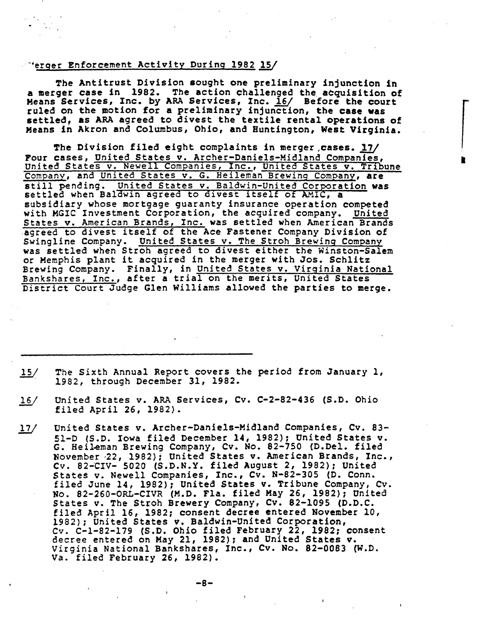# \*erger Enforcement Activity During 1982 15

The Antitrust Division sought one preliminary injunction in a merger case in 1982. The action challenged the acquisition of Means Services, Inc. by ARA Services, Inc. 16/ Before the court ruled on the motion for a preliminary injunction, the case was settled, as ARA agreed to divest the textile rental operations of Means in Akron and Columbus, Ohio, and Huntington, West Virginia.

•

The Division filed eight complaints in merger ,cases. *llJ*  Four cases, United States v. Archer-Daniels-Midland Companies, Four cases, United States v. Archer-Baniers-Midiand Companies,<br>United States v. Newell Companies, Inc., United States v. Tribune Company, and United States v. G. Heileman Brewing Company, are company, and <u>onited States v. S. Belieman Blewing Company</u>, are still pending. **Onlined States** of The Milled Corporate Settled when Baldwin agreed to divest itself of AMIC, a subsidiary whose mortgage guaranty insurance operation competed with MGIC Investment Corporation, the acquired company. United States v. American Brands, Inc. was settled when American Brands agreed to divest itself of the Ace Fastener Company Division of Swingline Company. United States v. The Stroh Brewing Company was settled when Stroh agreed to divest either the Winston-Salem or Memphis plant it acquired in the merger with Jos. Schlitz Brewing Company. Finally, in United States v. Virginia National Brewing Company. Finally, in <u>United States v. Virginia Matit</u> District Court Judge Glen Williams allowed the parties to merge.

- The Sixth Annual Report covers the period from January l,  $15/$ 1982, through December 31, 1982.
- $16/$ United States v. ARA Services, Cv. C-2-82-436 (S.D. Ohio filed April 26, 1982).
- *l1I*  United States v. Archer-Daniels-Midland Companies, Cv. 83- 51-D (S.D. Iowa filed December 14, 1982); United States v. Si-D (S.D. 10Wa liled December 14, 1981), Shiled Brates V.<br>G. Heileman Brewing Company, Cv. No. 82-750 (D.Del. filed November -22, 1982); United States v. American Brands, Inc., Cv. 82-'CIV- 5020 (S.D.N.Y. filed Au9ust 2, 1982); United States v. Newell Companies, Inc., Cv. N-82-305 {D. Conn. filed June 14, 1982); United States v. Tribune Company, Cv. No. 82-260-0RL-CIVR (M.D. Fla. filed May 26, 1982): United States v. The Stroh Brewery Company, Cv. 82-1095 (D.D.C. filed April 16, 1982: consent decree entered November 10, 1982): United States v. Baldwin-United Corporation, *Cv.* C-1-82-179 (S.D. Ohio filed February 22, 1982: consent decree entered on May 21, 1982): and United States v. Virginia National Bankshares, Inc., Cv. No. 82-0083 (W.D. Va. filed February 26, 1982}.

 $-8-$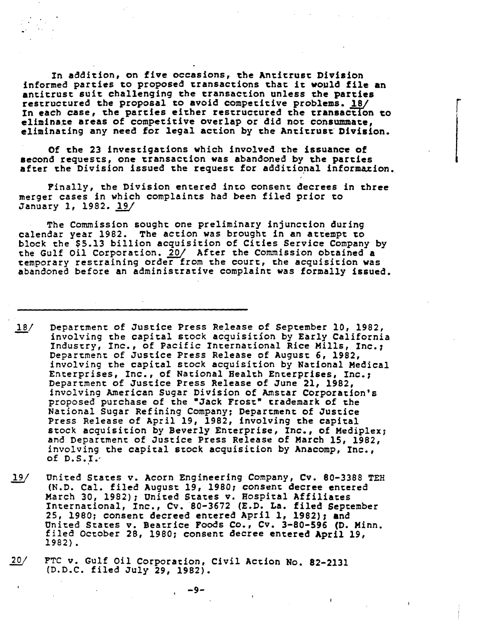In addition, on five occasions, the Antitrust Division informed parties to proposed transactions that it would file an antitrust suit challenging the transaction unless the parties restructured the proposal to avoid competitive problems. 18/ In each case, the parties either restructured the transaction to eliminate areas of competitive overlap or did not consummate. eliminating any need for legal action by the Antitrust Division.

r

..

Of the 23 investigations which involved the issuance of second requests, one transaction was abandoned by the parties after the Division issued the request for additional information.

Finally, the Division entered into consent decrees in three merger cases in which complaints had been filed prior to January 1, 1982. 19/

The Commission sought one preliminary injunction during calendar year 1982. The action was brought in an attempt to block the \$5.13 billion acquisition of Cities Service Company by block the \$5.13 billion acquisition of Cities Service Company by the Gulf Oil Corporation. 20/ After the Commission obtained a temporary restraining order from the court, the acquisition was abandoned before an administrative complaint was formally issued.

- $18/$ Department of Justice Press Release of September 10, 1982, involving the capital stock acquisition by Early California Industry, Inc., of Pacific International Rice Mills, Inc.7 Department of Justice Press Release of August 6, 1982, involving the capital stock acquisition by National Medical Enterprises, Inc., of National Health Enterprises, Inc.7 Department of Justice Press Release of June 21, 1982,<br>involving American Sugar Division of Amstar Corporation's proposed purchase of the "Jack Frost" trademark of the National Sugar Refining Company; Department of Justice Press Release of April 19, 1982, involving the capital stock acquisition by Beverly Enterprise, Inc., of Mediplex; and Department of Justice Press Release of March 15, 1982, involving the capital stock acquisition by Anacomp, Inc., of  $D.S.I.'$
- $19/$ United States v. Acorn Engineering Company, Cv. 80-3388 TEH (N.D. Cal. filed August 19, 1980: consent decree entered March 30, 1982); United States v. Hospieal Affiliates International, Inc., Cv. 80-3672 (E.D. La. filed September 25, 1980; consent decreed entered April 1, 1982); and United States v. Beatrice Foods Co., Cv. 3-80-596 (D. Minn. filed October 28, 1980; consent decree entered April 19, 1982).
- $20/$ FTC v. Gulf Oil Corporation, Civil Action No. 82-2131 (D.D.C. filed July 29, 1982).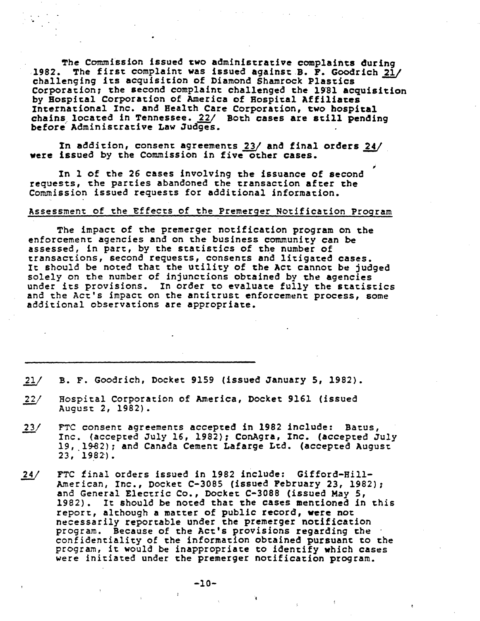The Commission issued two administrative complaints during 1982. The first complaint was issued against B. F. Goodrich 21/ challenging its acquisition of Diamond Shamrock Plastics Corporation; the second complaint challenged the 1981 acquisition by Hospital Corporation of America of Hospital Affiliates<br>International Inc. and Health Care Corporation, two hospital chains located in Tennessee. 22/ Both cases are still pending<br>before Administrative Law Judges.

In addition, consent agreements 23/ and final orders 24/ were issued by the Commission in five other cases. ,

In 1 of the 26 cases involving the issuance of second requests, the parties abandoned the transaction after the Commission issued requests for additional information.

..

#### Assessment of the Effects of the Premerger Notification Program

The impact of the premerger notification program on the enforcement agencies and on the business community can be assessed, in part, by ehe statistics of the number of transactions, second requests, consents and litigated cases.<br>It should be noted that the utility of the Act cannot be judged solely on the number of injunctions obtained by the agencies<br>under its provisions. In order to evaluate fully the statistics and the Act's impact on the antitrust enforcement process, some additional observations are appropriate.

B. F. Goodrich, Docket 9159 (issued January S, 1982).  $21/$ 

- $22/$ Hospital Corporation of America, Docket 9161 (issued August 2, 1982).
- $23/$ FTC consent agreements accepted in 1982 include: Batus,<br>Inc. (accepted July 16, 1982); ConAgra, Inc. (accepted July 19, 1982); and Canada Cement Lafarge Ltd. (accepted August  $23.1982$ .
- $24/$ FTC final orders issued in 1982 include: Gifford-Hill-Amer ican, Inc., Docket C-3085 (issued February 23, 1982); and General Electric Co., Docket C-3088 (issued May 5, 1982). It should be noted that the cases mentioned in this report, although a matter of public record, were not necessarily reportable under the premerger notification<br>program. Because of the Act's provisions regarding the confidentiality of the information obtained pursuant to the program, it would be inappropriate to identify which cases were initiated under the premerger notification program.

..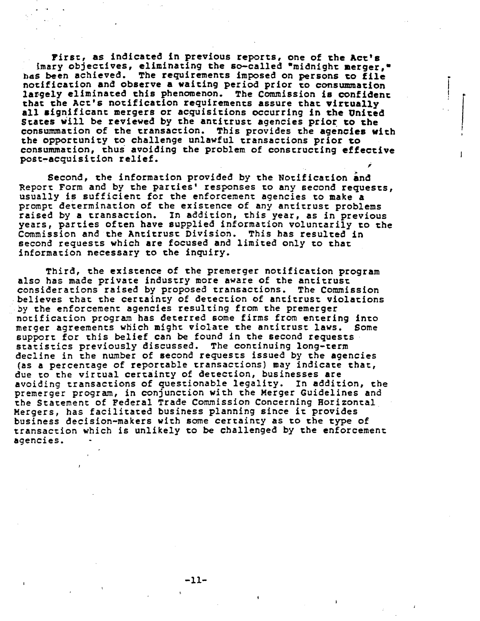Firse, as indicated in previous reports, one of che Act's imary objectives, eliminating the so-called •midnight merger,• has been achieved. The requirements imposed on persons to file notification and observe a waiting period prior to consummation largely eliminated this phenomenon. The Commission is confident that ehe Act's notification requirements assure that virtually all aignif icant mergers or acquisitions occurring in the Uniced States will be reviewed by the antitrust agencies prior to the consummation of the transaction. This provides the agencies with the opportunity to challenge unlawful transactions prior to consummation, thus avoiding the problem of constructing effective post-acquisition relief. ;

.<br>.<br>. I I

> $\begin{array}{c} \begin{array}{c} \end{array} \end{array}$ I

Second, the information provided by the Notification and Report Form and by the parties' responses to any second requests, usually is sufficient for the enforcement agencies to make a prompt determination of the existence of any antitrust problems prompt determination of the existence of any antitrust problems<br>raised by a transaction. In addition, this year, as in previous years, parties often have supplied information voluntarily to the Commission and the Antitrust Division. This has resulted in second requests which are focused and limited only to that information necessary to che inquiry.

Third, the existence of the premerger notification program also has made private industry more aware of the antitrust consideracions raised by proposed transactions. The Commission believes that the certainty of detection of ancitrust violacions by the enforcement agencies resulting from the premerger notification program has deterred some firms from entering into merger agreements which might violate the antitrust laws. Some support for this belief can be found in the second requests statistics previously discussed. The concinuing long-term decline in the number of second requests issued by the agencies (as a percencage of reportable transactions) may indicate thac, due to the virtual certainty of detection, businesses are avoiding cransaccions of questionable legality. In addition, the premerger program, in conjunction with the Merger Guidelines and the Statement of Federal Trade Commission Concerning Horizontal Mergers, has facilitated business planning since it provides business decision-makers with some certainty as to the type of transaction which is unlikely to be challenged by the enforcement agencies.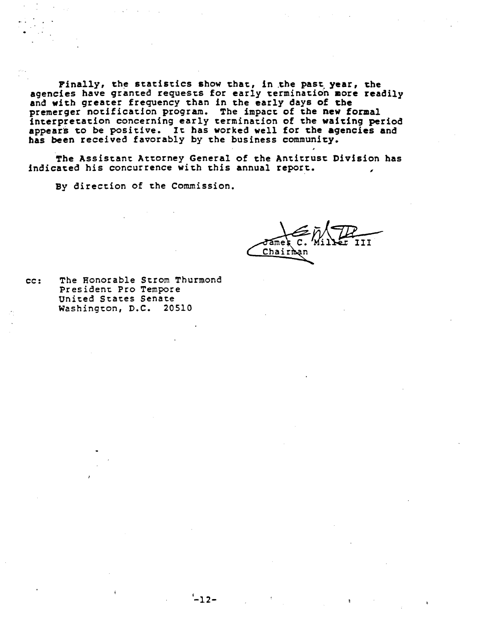Finally, the statistics show that, in the past year, the agencies have graneed requests for early termination more readily and with greater frequency than in the early days of the premerger notification program. The impact of the new formal interpretation concerning early terminaeion of the waiting period appears to be positive. It has worked well for the agencies and has been received favorably by the business community.

The Assistant Attorney General of the Antitrust Division has indicated his concurrence with this annual report.

By direction of the Commission.

Chairhan

cc: The Honorable Strom Thurmond President Pro Tempore United States Senate Washington, O.C. 20510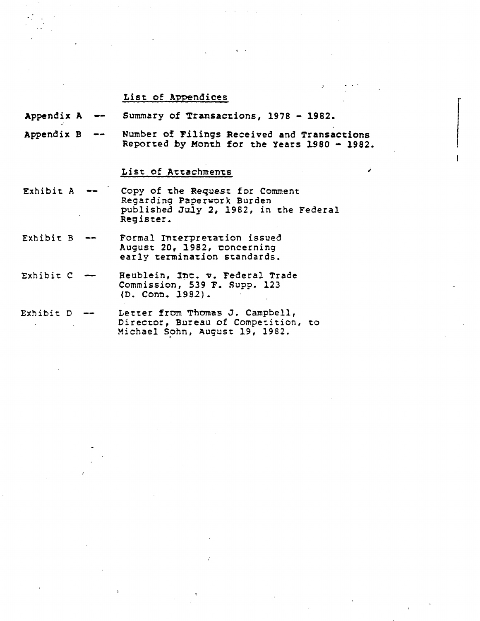### List: of Appendices

Appendix A Summary of Transactions, 1978 - 1982.

Appendix B Number of Filings Received and Transactions  $- -$ Reported by Month for the Years 1980 - 1982.

,

r

# List of Attachments

- Exhibit: A Copy of the Request for Comment Regarding Paperwork Burden published July 2, 1982, in the Federal Register.
- Exhibit: B Formal Interpretation issued August: 20, 1982, concerning early termination standards.
- Exhibit: C Heublein, Inc. v. Federal Trade Commission, 539 F. Supp. 123 (D. Conn. 1982).
- Exhibit: D Letter from Thomas J. Campbell, Director, Bureau of Competition, to Michael Sohn, August 19, 1982.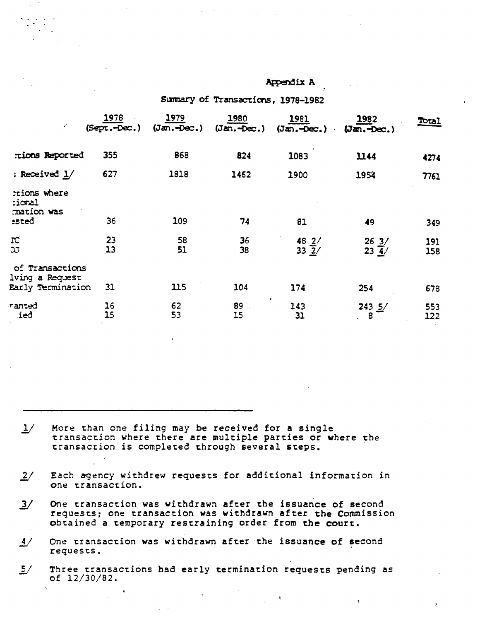|                                                         |                               | Summary of Transactions, 1978-1982 |                            |                                   |                                 |            |  |  |
|---------------------------------------------------------|-------------------------------|------------------------------------|----------------------------|-----------------------------------|---------------------------------|------------|--|--|
| $\epsilon^{\prime}$                                     | <u> 1978 </u><br>(Sept.-Dec.) | $\frac{1979}{(\text{Jan.-Dec.})}$  | $\frac{1980}{(Jan.-Dec.)}$ | $\frac{1981}{(\text{Jan.-Dec.})}$ | 1982<br>$(Jan.-Dec.)$<br>$\sim$ | Total      |  |  |
| tions Reported                                          | 355                           | 868                                | 824                        | 1083                              | 1144                            | 4274       |  |  |
| ; Received $1/$                                         | 627                           | 1818                               | 1462                       | 1900                              | 1954                            | 7761       |  |  |
| rions where<br>:ional<br>mation was<br><b>ssted</b>     | 36                            | 109                                | 74                         | 81                                | 49                              | 349        |  |  |
| IC.<br>λJ                                               | 23<br>13                      | 58<br>51                           | 36<br>38                   | $\frac{48}{33} \frac{2}{2}$       | $\frac{26}{23} \frac{3}{4}$     | 191<br>158 |  |  |
| of Transactions<br>lving a Request<br>Early Termination | 31                            | 115                                | 104                        | 174                               | 254                             | 678        |  |  |
| ranted<br>ied                                           | 16<br>15                      | 62<br>53                           | 89<br>15                   | 143<br>31                         | $243 \frac{5}{2}$<br>8          | 553<br>122 |  |  |
|                                                         |                               |                                    |                            |                                   |                                 |            |  |  |

Appendix A

- More than one filing may be received for a single  $1/$ transaction where there are multiple parties or where the transaction is completed through several steps.
- $\frac{2}{ }$ Each agency withdrew requests for additional information in one transaction.
- One transaction was withdrawn after the issuance of second  $\frac{3}{2}$ requests; one transaction was withdrawn after the Commission obtained a temporary restraining order from the court.
- $\frac{4}{ }$ One transaction was withdrawn after the issuance of second requests.
- $\frac{5}{ }$ Three transactions had early termination requests pending as of 12/30/82.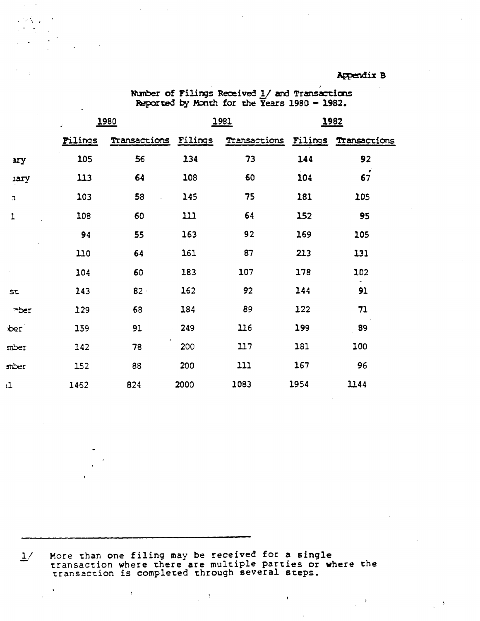# **Appendix B**

|                | <u> 1980</u><br>¥. |                      | <u> 1981 </u> |                      | <u> 1982</u> |              |
|----------------|--------------------|----------------------|---------------|----------------------|--------------|--------------|
|                | <b>Filings</b>     | Transactions Filings |               | Transactions Filings |              | Transactions |
| 2ry            | 105                | 56                   | 134           | 73                   | 144          | 92           |
| <b>jary</b>    | 113                | 64                   | 108           | 60                   | 104          | 67           |
| $\mathfrak{D}$ | 103                | 58                   | 145           | 75                   | 181          | 105          |
| 1              | 108                | 60                   | 111           | 64                   | 152          | 95           |
|                | 94                 | 55                   | 163           | 92                   | 169          | 105          |
|                | 110                | 64                   | 161           | 87                   | 213          | 131          |
|                | 104                | 60                   | 183           | 107                  | 178          | 102          |
| $\textsf{st}$  | 143                | $B2 -$               | 162           | 92                   | 144          | 91           |
| $\neg$ ber     | 129                | 68                   | 184           | 89                   | 122          | 71           |
| per            | 159                | 91                   | 249           | 116                  | 199          | 89           |
| mber           | 142                | 78                   | 200           | 117                  | 181          | 100          |
| mber           | 152                | 88                   | 200           | 111                  | 167          | 96           |
| ı1             | 1462               | 824                  | 2000          | 1083                 | 1954         | 1144         |

 $\mathcal{L}^{\text{max}}$ 

Number of Filings Received  $1/$  and Transactions Reported by Month for the Years 1980 - 1982.

More than one filing may be received for a single<br>transaction where there are multiple parties or where the<br>transaction is completed through several steps.  $\frac{1}{2}$ 

 $\ddot{\xi}$